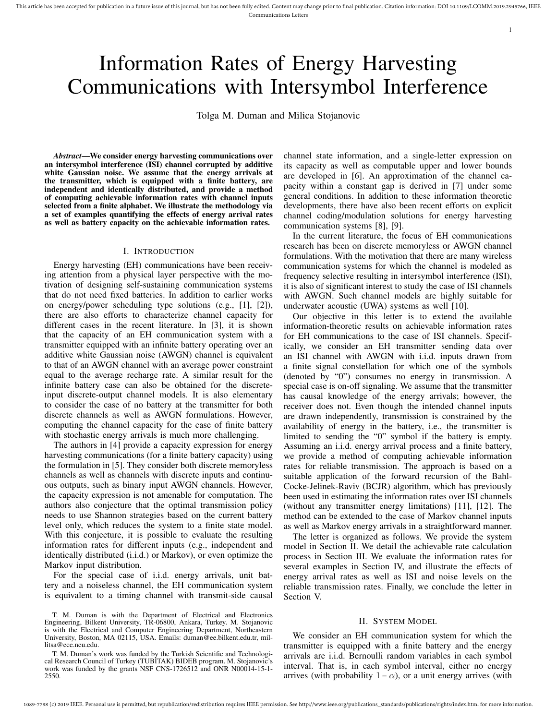# Information Rates of Energy Harvesting Communications with Intersymbol Interference

Tolga M. Duman and Milica Stojanovic

*Abstract*—We consider energy harvesting communications over an intersymbol interference (ISI) channel corrupted by additive white Gaussian noise. We assume that the energy arrivals at the transmitter, which is equipped with a finite battery, are independent and identically distributed, and provide a method of computing achievable information rates with channel inputs selected from a finite alphabet. We illustrate the methodology via a set of examples quantifying the effects of energy arrival rates as well as battery capacity on the achievable information rates.

## I. INTRODUCTION

Energy harvesting (EH) communications have been receiving attention from a physical layer perspective with the motivation of designing self-sustaining communication systems that do not need fixed batteries. In addition to earlier works on energy/power scheduling type solutions (e.g., [1], [2]), there are also efforts to characterize channel capacity for different cases in the recent literature. In [3], it is shown that the capacity of an EH communication system with a transmitter equipped with an infinite battery operating over an additive white Gaussian noise (AWGN) channel is equivalent to that of an AWGN channel with an average power constraint equal to the average recharge rate. A similar result for the infinite battery case can also be obtained for the discreteinput discrete-output channel models. It is also elementary to consider the case of no battery at the transmitter for both discrete channels as well as AWGN formulations. However, computing the channel capacity for the case of finite battery with stochastic energy arrivals is much more challenging.

The authors in [4] provide a capacity expression for energy harvesting communications (for a finite battery capacity) using the formulation in [5]. They consider both discrete memoryless channels as well as channels with discrete inputs and continuous outputs, such as binary input AWGN channels. However, the capacity expression is not amenable for computation. The authors also conjecture that the optimal transmission policy needs to use Shannon strategies based on the current battery level only, which reduces the system to a finite state model. With this conjecture, it is possible to evaluate the resulting information rates for different inputs (e.g., independent and identically distributed (i.i.d.) or Markov), or even optimize the Markov input distribution.

For the special case of i.i.d. energy arrivals, unit battery and a noiseless channel, the EH communication system is equivalent to a timing channel with transmit-side causal

T. M. Duman is with the Department of Electrical and Electronics Engineering, Bilkent University, TR-06800, Ankara, Turkey. M. Stojanovic is with the Electrical and Computer Engineering Department, Northeastern University, Boston, MA 02115, USA. Emails: duman@ee.bilkent.edu.tr, millitsa@ece.neu.edu.

T. M. Duman's work was funded by the Turkish Scientific and Technological Research Council of Turkey (TUBITAK) BIDEB program. M. Stojanovic's work was funded by the grants NSF CNS-1726512 and ONR N00014-15-1- 2550.

channel state information, and a single-letter expression on its capacity as well as computable upper and lower bounds are developed in [6]. An approximation of the channel capacity within a constant gap is derived in [7] under some general conditions. In addition to these information theoretic developments, there have also been recent efforts on explicit channel coding/modulation solutions for energy harvesting communication systems [8], [9].

1

In the current literature, the focus of EH communications research has been on discrete memoryless or AWGN channel formulations. With the motivation that there are many wireless communication systems for which the channel is modeled as frequency selective resulting in intersymbol interference (ISI), it is also of significant interest to study the case of ISI channels with AWGN. Such channel models are highly suitable for underwater acoustic (UWA) systems as well [10].

Our objective in this letter is to extend the available information-theoretic results on achievable information rates for EH communications to the case of ISI channels. Specifically, we consider an EH transmitter sending data over an ISI channel with AWGN with i.i.d. inputs drawn from a finite signal constellation for which one of the symbols (denoted by "0") consumes no energy in transmission. A special case is on-off signaling. We assume that the transmitter has causal knowledge of the energy arrivals; however, the receiver does not. Even though the intended channel inputs are drawn independently, transmission is constrained by the availability of energy in the battery, i.e., the transmitter is limited to sending the "0" symbol if the battery is empty. Assuming an i.i.d. energy arrival process and a finite battery, we provide a method of computing achievable information rates for reliable transmission. The approach is based on a suitable application of the forward recursion of the Bahl-Cocke-Jelinek-Raviv (BCJR) algorithm, which has previously been used in estimating the information rates over ISI channels (without any transmitter energy limitations) [11], [12]. The method can be extended to the case of Markov channel inputs as well as Markov energy arrivals in a straightforward manner.

The letter is organized as follows. We provide the system model in Section II. We detail the achievable rate calculation process in Section III. We evaluate the information rates for several examples in Section IV, and illustrate the effects of energy arrival rates as well as ISI and noise levels on the reliable transmission rates. Finally, we conclude the letter in Section V.

#### II. SYSTEM MODEL

We consider an EH communication system for which the transmitter is equipped with a finite battery and the energy arrivals are i.i.d. Bernoulli random variables in each symbol interval. That is, in each symbol interval, either no energy arrives (with probability  $1 - \alpha$ ), or a unit energy arrives (with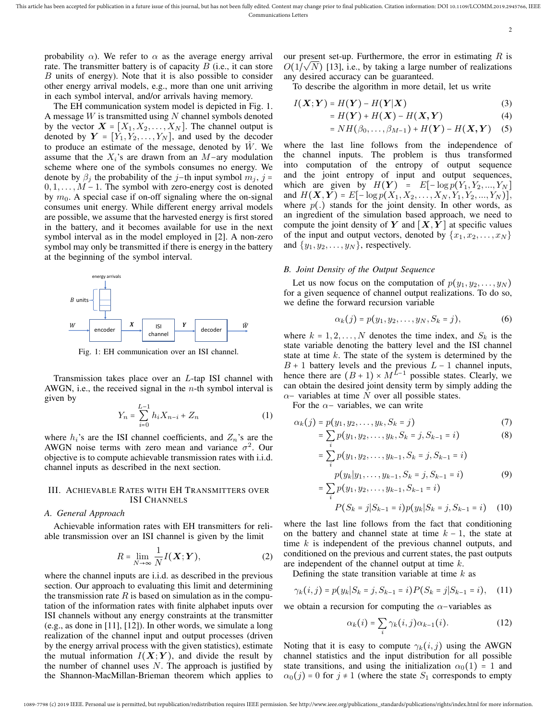$\overline{2}$ 

probability  $\alpha$ ). We refer to  $\alpha$  as the average energy arrival rate. The transmitter battery is of capacity  $B$  (i.e., it can store B units of energy). Note that it is also possible to consider other energy arrival models, e.g., more than one unit arriving in each symbol interval, and/or arrivals having memory.

The EH communication system model is depicted in Fig. 1. A message  $W$  is transmitted using  $N$  channel symbols denoted by the vector  $X = [X_1, X_2, \dots, X_N]$ . The channel output is denoted by  $Y = [Y_1, Y_2, \dots, Y_N]$ , and used by the decoder to produce an estimate of the message, denoted by  $W$ . We assume that the  $X_i$ 's are drawn from an  $M$ −ary modulation scheme where one of the symbols consumes no energy. We denote by  $\beta_i$  the probability of the j−th input symbol  $m_i$ , j =  $0, 1, \ldots, M - 1$ . The symbol with zero-energy cost is denoted by  $m_0$ . A special case if on-off signaling where the on-signal consumes unit energy. While different energy arrival models are possible, we assume that the harvested energy is first stored in the battery, and it becomes available for use in the next symbol interval as in the model employed in [2]. A non-zero symbol may only be transmitted if there is energy in the battery at the beginning of the symbol interval.



Fig. 1: EH communication over an ISI channel.

Transmission takes place over an L-tap ISI channel with AWGN, i.e., the received signal in the  $n$ -th symbol interval is given by

$$
Y_n = \sum_{i=0}^{L-1} h_i X_{n-i} + Z_n \tag{1}
$$

where  $h_i$ 's are the ISI channel coefficients, and  $Z_n$ 's are the AWGN noise terms with zero mean and variance  $\sigma^2$ . Our objective is to compute achievable transmission rates with i.i.d. channel inputs as described in the next section.

# III. ACHIEVABLE RATES WITH EH TRANSMITTERS OVER ISI CHANNELS

## *A. General Approach*

Achievable information rates with EH transmitters for reliable transmission over an ISI channel is given by the limit

$$
R = \lim_{N \to \infty} \frac{1}{N} I(\boldsymbol{X}; \boldsymbol{Y}), \tag{2}
$$

where the channel inputs are i.i.d. as described in the previous section. Our approach to evaluating this limit and determining the transmission rate  $R$  is based on simulation as in the computation of the information rates with finite alphabet inputs over ISI channels without any energy constraints at the transmitter (e.g., as done in [11], [12]). In other words, we simulate a long realization of the channel input and output processes (driven by the energy arrival process with the given statistics), estimate the mutual information  $I(X;Y)$ , and divide the result by the number of channel uses  $N$ . The approach is justified by the Shannon-MacMillan-Brieman theorem which applies to

our present set-up. Furthermore, the error in estimating R is  $O(1/\sqrt{N})$  [13], i.e., by taking a large number of realizations any desired accuracy can be guaranteed.

To describe the algorithm in more detail, let us write

$$
I(\boldsymbol{X};\boldsymbol{Y}) = H(\boldsymbol{Y}) - H(\boldsymbol{Y}|\boldsymbol{X})
$$
\n(3)

$$
=H(Y)+H(X)-H(X,Y) \tag{4}
$$

$$
= NH(\beta_0,\ldots,\beta_{M-1}) + H(\boldsymbol{Y}) - H(\boldsymbol{X},\boldsymbol{Y}) \quad (5)
$$

where the last line follows from the independence of the channel inputs. The problem is thus transformed into computation of the entropy of output sequence and the joint entropy of input and output sequences, which are given by  $H(Y) = E[-\log p(Y_1, Y_2, ..., Y_N])$ and  $H(X, Y) = E[-\log p(X_1, X_2, \ldots, X_N, Y_1, Y_2, \ldots, Y_N)],$ where  $p(.)$  stands for the joint density. In other words, as an ingredient of the simulation based approach, we need to compute the joint density of  $Y$  and  $[X, Y]$  at specific values of the input and output vectors, denoted by  $\{x_1, x_2, \ldots, x_N\}$ and  $\{y_1, y_2, \ldots, y_N\}$ , respectively.

# *B. Joint Density of the Output Sequence*

Let us now focus on the computation of  $p(y_1, y_2, \ldots, y_N)$ for a given sequence of channel output realizations. To do so, we define the forward recursion variable

$$
\alpha_k(j) = p(y_1, y_2, \dots, y_N, S_k = j), \tag{6}
$$

where  $k = 1, 2, ..., N$  denotes the time index, and  $S_k$  is the state variable denoting the battery level and the ISI channel state at time  $k$ . The state of the system is determined by the  $B + 1$  battery levels and the previous  $L - 1$  channel inputs, hence there are  $(B + 1) \times M^{L-1}$  possible states. Clearly, we can obtain the desired joint density term by simply adding the  $\alpha$  – variables at time N over all possible states.

For the  $\alpha$ - variables, we can write

$$
\alpha_k(j) = p(y_1, y_2, \dots, y_k, S_k = j)
$$
\n<sup>(7)</sup>

$$
= \sum_{i} p(y_1, y_2, \dots, y_k, S_k = j, S_{k-1} = i)
$$
 (8)

$$
= \sum_{i} p(y_1, y_2, \dots, y_{k-1}, S_k = j, S_{k-1} = i)
$$
  

$$
p(y_k|y_1, \dots, y_{k-1}, S_k = j, S_{k-1} = i)
$$
 (9)

$$
= \sum_{i} p(y_1, y_2, \dots, y_{k-1}, S_{k-1} = i)
$$
  

$$
P(S_k = j | S_{k-1} = i) p(y_k | S_k = j, S_{k-1} = i)
$$
 (10)

where the last line follows from the fact that conditioning on the battery and channel state at time  $k - 1$ , the state at time  $k$  is independent of the previous channel outputs, and conditioned on the previous and current states, the past outputs are independent of the channel output at time k.

Defining the state transition variable at time  $k$  as

$$
\gamma_k(i,j) = p(y_k|S_k = j, S_{k-1} = i)P(S_k = j|S_{k-1} = i), \quad (11)
$$

we obtain a recursion for computing the  $\alpha$ -variables as

$$
\alpha_k(i) = \sum_i \gamma_k(i,j) \alpha_{k-1}(i). \tag{12}
$$

Noting that it is easy to compute  $\gamma_k(i, j)$  using the AWGN channel statistics and the input distribution for all possible state transitions, and using the initialization  $\alpha_0(1) = 1$  and  $\alpha_0(j)$  = 0 for  $j \neq 1$  (where the state  $S_1$  corresponds to empty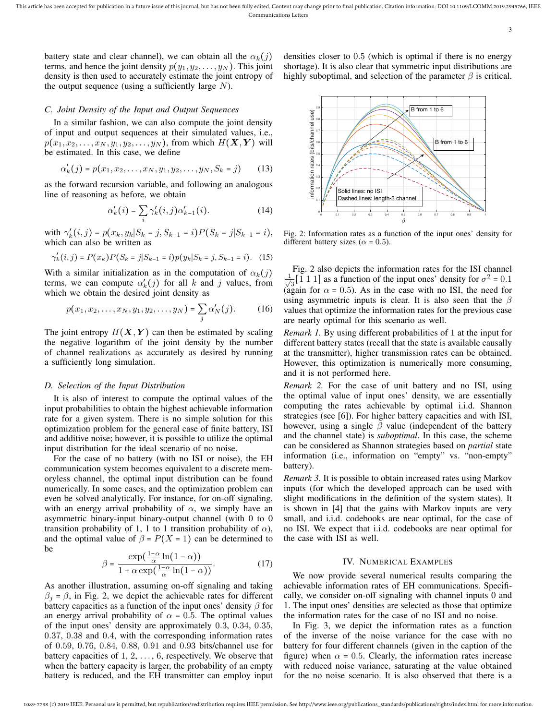3

battery state and clear channel), we can obtain all the  $\alpha_k(j)$ terms, and hence the joint density  $p(y_1, y_2, \ldots, y_N)$ . This joint density is then used to accurately estimate the joint entropy of the output sequence (using a sufficiently large  $N$ ).

### *C. Joint Density of the Input and Output Sequences*

In a similar fashion, we can also compute the joint density of input and output sequences at their simulated values, i.e.,  $p(x_1, x_2, \ldots, x_N, y_1, y_2, \ldots, y_N)$ , from which  $H(\mathbf{X}, \mathbf{Y})$  will be estimated. In this case, we define

$$
\alpha'_k(j) = p(x_1, x_2, \dots, x_N, y_1, y_2, \dots, y_N, S_k = j)
$$
 (13)

as the forward recursion variable, and following an analogous line of reasoning as before, we obtain

$$
\alpha'_k(i) = \sum_i \gamma'_k(i,j)\alpha'_{k-1}(i). \tag{14}
$$

with  $\gamma'_k(i,j) = p(x_k, y_k | S_k = j, S_{k-1} = i) P(S_k = j | S_{k-1} = i),$ which can also be written as

$$
\gamma'_{k}(i,j) = P(x_{k})P(S_{k} = j|S_{k-1} = i)p(y_{k}|S_{k} = j, S_{k-1} = i).
$$
 (15)

With a similar initialization as in the computation of  $\alpha_k(j)$ terms, we can compute  $\alpha'_k(j)$  for all k and j values, from which we obtain the desired joint density as

$$
p(x_1, x_2, \dots, x_N, y_1, y_2, \dots, y_N) = \sum_j \alpha'_N(j). \tag{16}
$$

The joint entropy  $H(X, Y)$  can then be estimated by scaling the negative logarithm of the joint density by the number of channel realizations as accurately as desired by running a sufficiently long simulation.

#### *D. Selection of the Input Distribution*

It is also of interest to compute the optimal values of the input probabilities to obtain the highest achievable information rate for a given system. There is no simple solution for this optimization problem for the general case of finite battery, ISI and additive noise; however, it is possible to utilize the optimal input distribution for the ideal scenario of no noise.

For the case of no battery (with no ISI or noise), the EH communication system becomes equivalent to a discrete memoryless channel, the optimal input distribution can be found numerically. In some cases, and the optimization problem can even be solved analytically. For instance, for on-off signaling, with an energy arrival probability of  $\alpha$ , we simply have an asymmetric binary-input binary-output channel (with 0 to 0 transition probability of 1, 1 to 1 transition probability of  $\alpha$ ), and the optimal value of  $\beta = P(X = 1)$  can be determined to be

$$
\beta = \frac{\exp\left(\frac{1-\alpha}{\alpha}\ln(1-\alpha)\right)}{1+\alpha\exp\left(\frac{1-\alpha}{\alpha}\ln(1-\alpha)\right)}.\tag{17}
$$

As another illustration, assuming on-off signaling and taking  $\beta_i = \beta$ , in Fig. 2, we depict the achievable rates for different battery capacities as a function of the input ones' density  $\beta$  for an energy arrival probability of  $\alpha = 0.5$ . The optimal values of the input ones' density are approximately 0.3, 0.34, 0.35, 0.37, 0.38 and 0.4, with the corresponding information rates of 0.59, 0.76, 0.84, 0.88, 0.91 and 0.93 bits/channel use for battery capacities of  $1, 2, \ldots, 6$ , respectively. We observe that when the battery capacity is larger, the probability of an empty battery is reduced, and the EH transmitter can employ input





Fig. 2: Information rates as a function of the input ones' density for different battery sizes ( $\alpha = 0.5$ ).

Fig. 2 also depicts the information rates for the ISI channel  $\frac{1}{\sqrt{2}}$  $\frac{1}{3}$ [1 1 1] as a function of the input ones' density for  $\sigma^2 = 0.1$ (again for  $\alpha = 0.5$ ). As in the case with no ISI, the need for using asymmetric inputs is clear. It is also seen that the  $\beta$ values that optimize the information rates for the previous case are nearly optimal for this scenario as well.

*Remark 1.* By using different probabilities of 1 at the input for different battery states (recall that the state is available causally at the transmitter), higher transmission rates can be obtained. However, this optimization is numerically more consuming, and it is not performed here.

*Remark 2.* For the case of unit battery and no ISI, using the optimal value of input ones' density, we are essentially computing the rates achievable by optimal i.i.d. Shannon strategies (see [6]). For higher battery capacities and with ISI, however, using a single  $\beta$  value (independent of the battery and the channel state) is *suboptimal*. In this case, the scheme can be considered as Shannon strategies based on *partial* state information (i.e., information on "empty" vs. "non-empty" battery).

*Remark 3.* It is possible to obtain increased rates using Markov inputs (for which the developed approach can be used with slight modifications in the definition of the system states). It is shown in [4] that the gains with Markov inputs are very small, and i.i.d. codebooks are near optimal, for the case of no ISI. We expect that i.i.d. codebooks are near optimal for the case with ISI as well.

#### IV. NUMERICAL EXAMPLES

We now provide several numerical results comparing the achievable information rates of EH communications. Specifically, we consider on-off signaling with channel inputs 0 and 1. The input ones' densities are selected as those that optimize the information rates for the case of no ISI and no noise.

In Fig. 3, we depict the information rates as a function of the inverse of the noise variance for the case with no battery for four different channels (given in the caption of the figure) when  $\alpha = 0.5$ . Clearly, the information rates increase with reduced noise variance, saturating at the value obtained for the no noise scenario. It is also observed that there is a